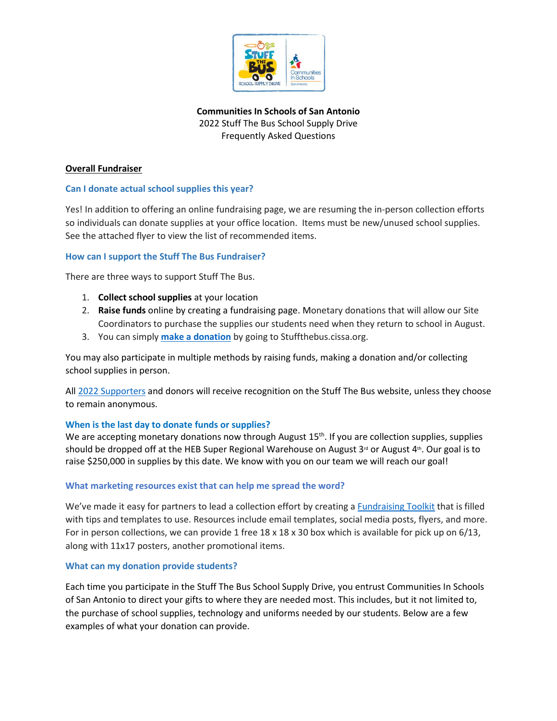

**Communities In Schools of San Antonio** 2022 Stuff The Bus School Supply Drive Frequently Asked Questions

## **Overall Fundraiser**

## **Can I donate actual school supplies this year?**

Yes! In addition to offering an online fundraising page, we are resuming the in-person collection efforts so individuals can donate supplies at your office location. Items must be new/unused school supplies. See the attached flyer to view the list of recommended items.

### **How can I support the Stuff The Bus Fundraiser?**

There are three ways to support Stuff The Bus.

- 1. **Collect school supplies** at your location
- 2. **Raise funds** online by creating a fundraising page. Monetary donations that will allow our Site Coordinators to purchase the supplies our students need when they return to school in August.
- 3. You can simply **[make a donation](https://stuffthebus.cissa.org/event/202stuthbuschsupdri/donate/)** by going to Stuffthebus.cissa.org.

You may also participate in multiple methods by raising funds, making a donation and/or collecting school supplies in person.

All [2022 Supporters](https://stuffthebus.cissa.org/event/202stuthbuschsupdri/page/848075/) and donors will receive recognition on the Stuff The Bus website, unless they choose to remain anonymous.

### **When is the last day to donate funds or supplies?**

We are accepting monetary donations now through August 15<sup>th</sup>. If you are collection supplies, supplies should be dropped off at the HEB Super Regional Warehouse on August 3<sup>rd</sup> or August 4<sup>th</sup>. Our goal is to raise \$250,000 in supplies by this date. We know with you on our team we will reach our goal!

### **What marketing resources exist that can help me spread the word?**

We've made it easy for partners to lead a collection effort by creating a [Fundraising Toolkit](https://secure.qgiv.com/event/202stuthbuschsupdri/page/848070/) that is filled with tips and templates to use. Resources include email templates, social media posts, flyers, and more. For in person collections, we can provide 1 free 18 x 18 x 30 box which is available for pick up on 6/13, along with 11x17 posters, another promotional items.

### **What can my donation provide students?**

Each time you participate in the Stuff The Bus School Supply Drive, you entrust Communities In Schools of San Antonio to direct your gifts to where they are needed most. This includes, but it not limited to, the purchase of school supplies, technology and uniforms needed by our students. Below are a few examples of what your donation can provide.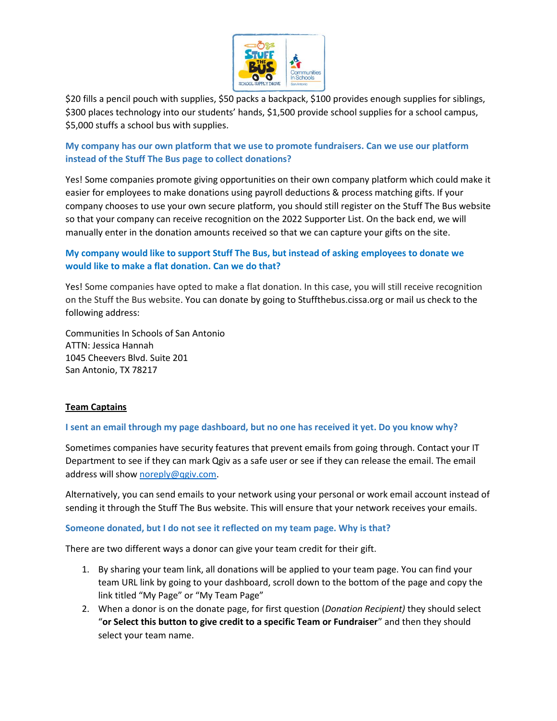

\$20 fills a pencil pouch with supplies, \$50 packs a backpack, \$100 provides enough supplies for siblings, \$300 places technology into our students' hands, \$1,500 provide school supplies for a school campus, \$5,000 stuffs a school bus with supplies.

# **My company has our own platform that we use to promote fundraisers. Can we use our platform instead of the Stuff The Bus page to collect donations?**

Yes! Some companies promote giving opportunities on their own company platform which could make it easier for employees to make donations using payroll deductions & process matching gifts. If your company chooses to use your own secure platform, you should still register on the Stuff The Bus website so that your company can receive recognition on the 2022 Supporter List. On the back end, we will manually enter in the donation amounts received so that we can capture your gifts on the site.

# **My company would like to support Stuff The Bus, but instead of asking employees to donate we would like to make a flat donation. Can we do that?**

Yes! Some companies have opted to make a flat donation. In this case, you will still receive recognition on the Stuff the Bus website. You can donate by going to Stuffthebus.cissa.org or mail us check to the following address:

Communities In Schools of San Antonio ATTN: Jessica Hannah 1045 Cheevers Blvd. Suite 201 San Antonio, TX 78217

# **Team Captains**

# **I sent an email through my page dashboard, but no one has received it yet. Do you know why?**

Sometimes companies have security features that prevent emails from going through. Contact your IT Department to see if they can mark Qgiv as a safe user or see if they can release the email. The email address will sho[w noreply@qgiv.com.](mailto:noreply@qgiv.com)

Alternatively, you can send emails to your network using your personal or work email account instead of sending it through the Stuff The Bus website. This will ensure that your network receives your emails.

### **Someone donated, but I do not see it reflected on my team page. Why is that?**

There are two different ways a donor can give your team credit for their gift.

- 1. By sharing your team link, all donations will be applied to your team page. You can find your team URL link by going to your dashboard, scroll down to the bottom of the page and copy the link titled "My Page" or "My Team Page"
- 2. When a donor is on the donate page, for first question (*Donation Recipient)* they should select "**or Select this button to give credit to a specific Team or Fundraiser**" and then they should select your team name.